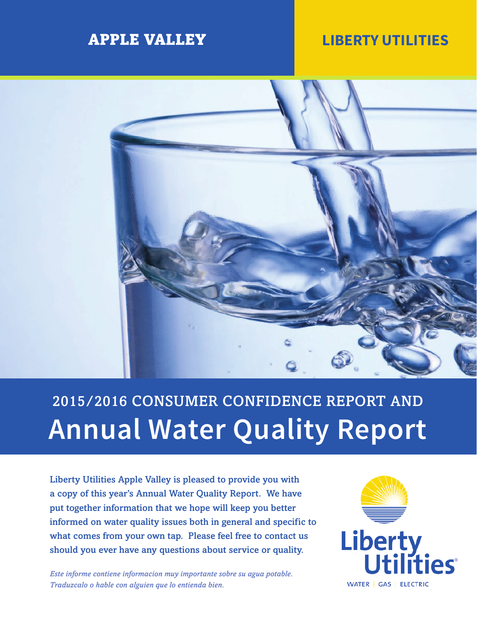## APPLE VALLEY **LIBERTY UTILITIES**



# 2015/2016 CONSUMER CONFIDENCE REPORT AND **Annual Water Quality Report**

Liberty Utilities Apple Valley is pleased to provide you with a copy of this year's Annual Water Quality Report. We have put together information that we hope will keep you better informed on water quality issues both in general and specific to what comes from your own tap. Please feel free to contact us should you ever have any questions about service or quality.

*Este informe contiene informacion muy importante sobre su agua potable. Traduzcalo o hable con alguien que lo entienda bien.*

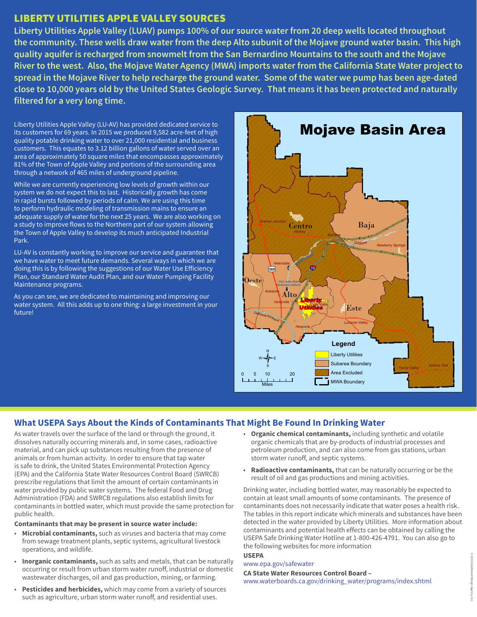#### LIBERTY UTILITIES APPLE VALLEY SOURCES

**Liberty Utilities Apple Valley (LUAV) pumps 100% of our source water from 20 deep wells located throughout the community. These wells draw water from the deep Alto subunit of the Mojave ground water basin. This high quality aquifer is recharged from snowmelt from the San Bernardino Mountains to the south and the Mojave River to the west. Also, the Mojave Water Agency (MWA) imports water from the California State Water project to spread in the Mojave River to help recharge the ground water. Some of the water we pump has been age-dated close to 10,000 years old by the United States Geologic Survey. That means it has been protected and naturally filtered for a very long time.**

Liberty Utilities Apple Valley (LU-AV) has provided dedicated service to its customers for 69 years. In 2015 we produced 9,582 acre-feet of high quality potable drinking water to over 21,000 residential and business customers. This equates to 3.12 billion gallons of water served over an area of approximately 50 square miles that encompasses approximately 81% of the Town of Apple Valley and portions of the surrounding area through a network of 465 miles of underground pipeline.

While we are currently experiencing low levels of growth within our system we do not expect this to last. Historically growth has come in rapid bursts followed by periods of calm. We are using this time to perform hydraulic modeling of transmission mains to ensure an adequate supply of water for the next 25 years. We are also working on a study to improve flows to the Northern part of our system allowing the Town of Apple Valley to develop its much anticipated Industrial Park.

LU-AV is constantly working to improve our service and guarantee that we have water to meet future demands. Several ways in which we are doing this is by following the suggestions of our Water Use Efficiency Plan, our Standard Water Audit Plan, and our Water Pumping Facility Maintenance programs.

As you can see, we are dedicated to maintaining and improving our water system. All this adds up to one thing: a large investment in your future!



#### **What USEPA Says About the Kinds of Contaminants That Might Be Found In Drinking Water**

As water travels over the surface of the land or through the ground, it dissolves naturally occurring minerals and, in some cases, radioactive material, and can pick up substances resulting from the presence of animals or from human activity. In order to ensure that tap water is safe to drink, the United States Environmental Protection Agency (EPA) and the California State Water Resources Control Board (SWRCB) prescribe regulations that limit the amount of certain contaminants in water provided by public water systems. The federal Food and Drug Administration (FDA) and SWRCB regulations also establish limits for contaminants in bottled water, which must provide the same protection for public health.

#### **Contaminants that may be present in source water include:**

- **Microbial contaminants,** such as viruses and bacteria that may come from sewage treatment plants, septic systems, agricultural livestock operations, and wildlife.
- **Inorganic contaminants,** such as salts and metals, that can be naturally occurring or result from urban storm water runoff, industrial or domestic wastewater discharges, oil and gas production, mining, or farming.
- **Pesticides and herbicides,** which may come from a variety of sources such as agriculture, urban storm water runoff, and residential uses.
- **Organic chemical contaminants,** including synthetic and volatile organic chemicals that are by-products of industrial processes and petroleum production, and can also come from gas stations, urban storm water runoff, and septic systems.
- **Radioactive contaminants,** that can be naturally occurring or be the result of oil and gas productions and mining activities.

Drinking water, including bottled water, may reasonably be expected to contain at least small amounts of some contaminants. The presence of contaminants does not necessarily indicate that water poses a health risk. The tables in this report indicate which minerals and substances have been detected in the water provided by Liberty Utilities. More information about contaminants and potential health effects can be obtained by calling the USEPA Safe Drinking Water Hotline at 1-800-426-4791. You can also go to the following websites for more information

#### **USEPA** [www.epa.gov/safewater](http://www.epa.gov/safewater)

**CA State Water Resources Control Board –**  www.waterboards.ca.gov/drinking\_water/programs/index.shtml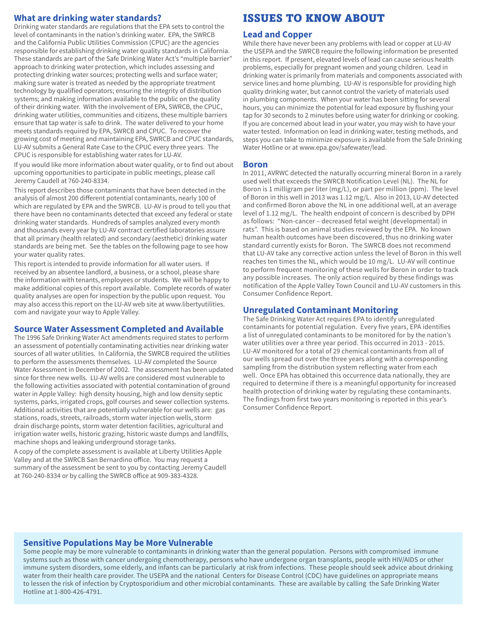#### **What are drinking water standards?**

Drinking water standards are regulations that the EPA sets to control the level of contaminants in the nation's drinking water. EPA, the SWRCB and the California Public Utilities Commission (CPUC) are the agencies responsible for establishing drinking water quality standards in California. These standards are part of the Safe Drinking Water Act's "multiple barrier" approach to drinking water protection, which includes assessing and protecting drinking water sources; protecting wells and surface water; making sure water is treated as needed by the appropriate treatment technology by qualified operators; ensuring the integrity of distribution systems; and making information available to the public on the quality of their drinking water. With the involvement of EPA, SWRCB, the CPUC, drinking water utilities, communities and citizens, these multiple barriers ensure that tap water is safe to drink. The water delivered to your home meets standards required by EPA, SWRCB and CPUC. To recover the growing cost of meeting and maintaining EPA, SWRCB and CPUC standards, LU-AV submits a General Rate Case to the CPUC every three years. The CPUC is responsible for establishing water rates for LU-AV.

If you would like more information about water quality, or to find out about upcoming opportunities to participate in public meetings, please call Jeremy Caudell at 760-240-8334.

This report describes those contaminants that have been detected in the analysis of almost 200 different potential contaminants, nearly 100 of which are regulated by EPA and the SWRCB. LU-AV is proud to tell you that there have been no contaminants detected that exceed any federal or state drinking water standards. Hundreds of samples analyzed every month and thousands every year by LU-AV contract certified laboratories assure that all primary (health related) and secondary (aesthetic) drinking water standards are being met. See the tables on the following page to see how your water quality rates.

This report is intended to provide information for all water users. If received by an absentee landlord, a business, or a school, please share the information with tenants, employees or students. We will be happy to make additional copies of this report available. Complete records of water quality analyses are open for inspection by the public upon request. You may also access this report on the LU-AV web site at www.libertyutilities. com and navigate your way to Apple Valley.

#### **Source Water Assessment Completed and Available**

The 1996 Safe Drinking Water Act amendments required states to perform an assessment of potentially contaminating activities near drinking water sources of all water utilities. In California, the SWRCB required the utilities to perform the assessments themselves. LU-AV completed the Source Water Assessment in December of 2002. The assessment has been updated since for three new wells. LU-AV wells are considered most vulnerable to the following activities associated with potential contamination of ground water in Apple Valley: high density housing, high and low density septic systems, parks, irrigated crops, golf courses and sewer collection systems. Additional activities that are potentially vulnerable for our wells are: gas stations, roads, streets, railroads, storm water injection wells, storm drain discharge points, storm water detention facilities, agricultural and irrigation water wells, historic grazing, historic waste dumps and landfills, machine shops and leaking underground storage tanks.

A copy of the complete assessment is available at Liberty Utilities Apple Valley and at the SWRCB San Bernardino office. You may request a summary of the assessment be sent to you by contacting Jeremy Caudell at 760-240-8334 or by calling the SWRCB office at 909-383-4328.

### ISSUES TO KNOW ABOUT

#### **Lead and Copper**

While there have never been any problems with lead or copper at LU-AV the USEPA and the SWRCB require the following information be presented in this report. If present, elevated levels of lead can cause serious health problems, especially for pregnant women and young children. Lead in drinking water is primarily from materials and components associated with service lines and home plumbing. LU-AV is responsible for providing high quality drinking water, but cannot control the variety of materials used in plumbing components. When your water has been sitting for several hours, you can minimize the potential for lead exposure by flushing your tap for 30 seconds to 2 minutes before using water for drinking or cooking. If you are concerned about lead in your water, you may wish to have your water tested. Information on lead in drinking water, testing methods, and steps you can take to minimize exposure is available from the Safe Drinking Water Hotline or at www.epa.gov/safewater/lead.

#### **Boron**

In 2011, AVRWC detected the naturally occurring mineral Boron in a rarely used well that exceeds the SWRCB Notification Level (NL). The NL for Boron is 1 milligram per liter (mg/L), or part per million (ppm). The level of Boron in this well in 2013 was 1.12 mg/L. Also in 2013, LU-AV detected and confirmed Boron above the NL in one additional well, at an average level of 1.12 mg/L. The health endpoint of concern is described by DPH as follows: "Non-cancer – decreased fetal weight (developmental) in rats". This is based on animal studies reviewed by the EPA. No known human health outcomes have been discovered, thus no drinking water standard currently exists for Boron. The SWRCB does not recommend that LU-AV take any corrective action unless the level of Boron in this well reaches ten times the NL, which would be 10 mg/L. LU-AV will continue to perform frequent monitoring of these wells for Boron in order to track any possible increases. The only action required by these findings was notification of the Apple Valley Town Council and LU-AV customers in this Consumer Confidence Report.

#### **Unregulated Contaminant Monitoring**

The Safe Drinking Water Act requires EPA to identify unregulated contaminants for potential regulation. Every five years, EPA identifies a list of unregulated contaminants to be monitored for by the nation's water utilities over a three year period. This occurred in 2013 - 2015. LU-AV monitored for a total of 29 chemical contaminants from all of our wells spread out over the three years along with a corresponding sampling from the distribution system reflecting water from each well. Once EPA has obtained this occurrence data nationally, they are required to determine if there is a meaningful opportunity for increased health protection of drinking water by regulating these contaminants. The findings from first two years monitoring is reported in this year's Consumer Confidence Report.

#### **Sensitive Populations May be More Vulnerable**

Some people may be more vulnerable to contaminants in drinking water than the general population. Persons with compromised immune systems such as those with cancer undergoing chemotherapy, persons who have undergone organ transplants, people with HIV/AIDS or other immune system disorders, some elderly, and infants can be particularly at risk from infections. These people should seek advice about drinking water from their health care provider. The USEPA and the national Centers for Disease Control (CDC) have guidelines on appropriate means to lessen the risk of infection by Cryptosporidium and other microbial contaminants. These are available by calling the Safe Drinking Water Hotline at 1-800-426-4791.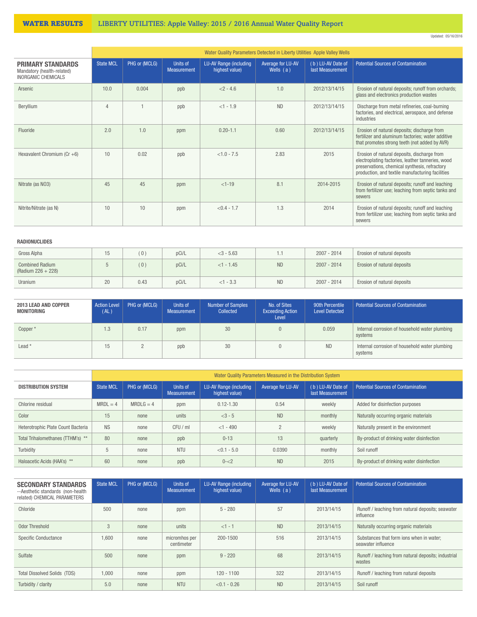#### WATER RESULTS LIBERTY UTILITIES: Apple Valley: 2015 / 2016 Annual Water Quality Report

| Updated: 05/16/2016 |
|---------------------|
|                     |

|                                                                                      | Water Quality Parameters Detected in Liberty Utilities Apple Valley Wells |               |                                |                                          |                                  |                                       |                                                                                                                                                                                                       |  |
|--------------------------------------------------------------------------------------|---------------------------------------------------------------------------|---------------|--------------------------------|------------------------------------------|----------------------------------|---------------------------------------|-------------------------------------------------------------------------------------------------------------------------------------------------------------------------------------------------------|--|
| <b>PRIMARY STANDARDS</b><br>Mandatory (health-related)<br><b>INORGANIC CHEMICALS</b> | <b>State MCL</b>                                                          | PHG or (MCLG) | Units of<br><b>Measurement</b> | LU-AV Range (including<br>highest value) | Average for LU-AV<br>Wells $(a)$ | (b) LU-AV Date of<br>last Measurement | <b>Potential Sources of Contamination</b>                                                                                                                                                             |  |
| Arsenic                                                                              | 10.0                                                                      | 0.004         | ppb                            | $< 2 - 4.6$                              | 1.0                              | 2012/13/14/15                         | Erosion of natural deposits; runoff from orchards;<br>glass and electronics production wastes                                                                                                         |  |
| Beryllium                                                                            | $\overline{4}$                                                            |               | ppb                            | $<1 - 1.9$                               | <b>ND</b>                        | 2012/13/14/15                         | Discharge from metal refineries, coal-burning<br>factories, and electrical, aerospace, and defense<br>industries                                                                                      |  |
| Fluoride                                                                             | 2.0                                                                       | 1.0           | ppm                            | $0.20 - 1.1$                             | 0.60                             | 2012/13/14/15                         | Erosion of natural deposits; discharge from<br>fertilizer and aluminum factories; water additive<br>that promotes strong teeth (not added by AVR)                                                     |  |
| Hexavalent Chromium ( $Cr + 6$ )                                                     | 10                                                                        | 0.02          | ppb                            | $< 1.0 - 7.5$                            | 2.83                             | 2015                                  | Erosion of natural deposits, discharge from<br>electroplating factories, leather tanneries, wood<br>preservations, chemical synthesis, refractory<br>production, and textile manufacturing facilities |  |
| Nitrate (as NO3)                                                                     | 45                                                                        | 45            | ppm                            | $<1-19$                                  | 8.1                              | 2014-2015                             | Erosion of natural deposits; runoff and leaching<br>from fertilizer use; leaching from septic tanks and<br>sewers                                                                                     |  |
| Nitrite/Nitrate (as N)                                                               | 10                                                                        | 10            | ppm                            | $< 0.4 - 1.7$                            | 1.3                              | 2014                                  | Erosion of natural deposits; runoff and leaching<br>from fertilizer use; leaching from septic tanks and<br>sewers                                                                                     |  |

#### RADIONUCLIDES

| Gross Alpha                                  | ıь | (0)  | pCi/L | $<$ 3 - 5.63 | 1.1       | $2007 - 2014$ | Erosion of natural deposits |
|----------------------------------------------|----|------|-------|--------------|-----------|---------------|-----------------------------|
| <b>Combined Radium</b><br>(Radium 226 + 228) |    | (0)  | pCi/L | $<1 - 1.45$  | <b>ND</b> | $2007 - 2014$ | Erosion of natural deposits |
| Uranium                                      | 20 | 0.43 | pCi/L | $<1 - 3.3$   | <b>ND</b> | $2007 - 2014$ | Erosion of natural deposits |

| 2013 LEAD AND COPPER<br>MONITORING | <b>Action Level</b><br>(AL) | PHG or (MCLG) | Units of<br>Measurement | <b>Number of Samples</b><br>Collected | No. of Sites<br><b>Exceeding Action</b><br>Level | 90th Percentile<br><b>Level Detected</b> | <b>Potential Sources of Contamination</b>                 |
|------------------------------------|-----------------------------|---------------|-------------------------|---------------------------------------|--------------------------------------------------|------------------------------------------|-----------------------------------------------------------|
| Copper *                           | $\overline{1.3}$            | 0.17          | ppm                     | 30                                    | $\overline{0}$                                   | 0.059                                    | Internal corrosion of household water plumbing<br>systems |
| Lead $*$                           | 15                          |               | ppb                     | 30                                    | 0                                                | <b>ND</b>                                | Internal corrosion of household water plumbing<br>systems |

|                                    | Water Quality Parameters Measured in the Distribution System |                                                 |            |                                          |                   |                                       |                                           |  |
|------------------------------------|--------------------------------------------------------------|-------------------------------------------------|------------|------------------------------------------|-------------------|---------------------------------------|-------------------------------------------|--|
| <b>DISTRIBUTION SYSTEM</b>         | <b>State MCL</b>                                             | PHG or (MCLG)<br>Units of<br><b>Measurement</b> |            | LU-AV Range (including<br>highest value) | Average for LU-AV | (b) LU-AV Date of<br>last Measurement | <b>Potential Sources of Contamination</b> |  |
| Chlorine residual                  | $MRDL = 4$                                                   | $MRDLG = 4$                                     | ppm        | $0.12 - 1.30$                            | 0.54              | weekly                                | Added for disinfection purposes           |  |
| Color                              | 15                                                           | none                                            | units      | $<3 - 5$                                 | <b>ND</b>         | monthly                               | Naturally occurring organic materials     |  |
| Heterotrophic Plate Count Bacteria | <b>NS</b>                                                    | none                                            | CFU/mI     | $<$ 1 - 490                              | $\Omega$          | weekly                                | Naturally present in the environment      |  |
| Total Trihalomethanes (TTHM's) **  | 80                                                           | none                                            | ppb        | $0 - 13$                                 | 13                | quarterly                             | By-product of drinking water disinfection |  |
| Turbidity                          | 5                                                            | none                                            | <b>NTU</b> | $< 0.1 - 5.0$                            | 0.0390            | monthly                               | Soil runoff                               |  |
| Haloacetic Acids (HAA's) **        | 60                                                           | none                                            | ppb        | $0 - 2$                                  | <b>ND</b>         | 2015                                  | By-product of drinking water disinfection |  |

| <b>SECONDARY STANDARDS</b><br>--Aesthetic standards (non-health)<br>related) CHEMICAL PARAMETERS | <b>State MCL</b> | PHG or (MCLG) | Units of<br><b>Measurement</b> | LU-AV Range (including<br>highest value) | Average for LU-AV<br>Wells $(a)$ | (b) LU-AV Date of<br>last Measurement | <b>Potential Sources of Contamination</b>                      |
|--------------------------------------------------------------------------------------------------|------------------|---------------|--------------------------------|------------------------------------------|----------------------------------|---------------------------------------|----------------------------------------------------------------|
| Chloride                                                                                         | 500              | none          | ppm                            | $5 - 280$                                | 57                               | 2013/14/15                            | Runoff / leaching from natural deposits; seawater<br>influence |
| Odor Threshold                                                                                   | 3                | none          | units                          | $<1 - 1$                                 | <b>ND</b>                        | 2013/14/15                            | Naturally occurring organic materials                          |
| <b>Specific Conductance</b>                                                                      | 1,600            | none          | micromhos per<br>centimeter    | 200-1500                                 | 516                              | 2013/14/15                            | Substances that form ions when in water:<br>seawater influence |
| Sulfate                                                                                          | 500              | none          | ppm                            | $9 - 220$                                | 68                               | 2013/14/15                            | Runoff / leaching from natural deposits: industrial<br>wastes  |
| <b>Total Dissolved Solids (TDS)</b>                                                              | 1,000            | none          | ppm                            | $120 - 1100$                             | 322                              | 2013/14/15                            | Runoff / leaching from natural deposits                        |
| Turbidity / clarity                                                                              | 5.0              | none          | <b>NTU</b>                     | $< 0.1 - 0.26$                           | <b>ND</b>                        | 2013/14/15                            | Soil runoff                                                    |